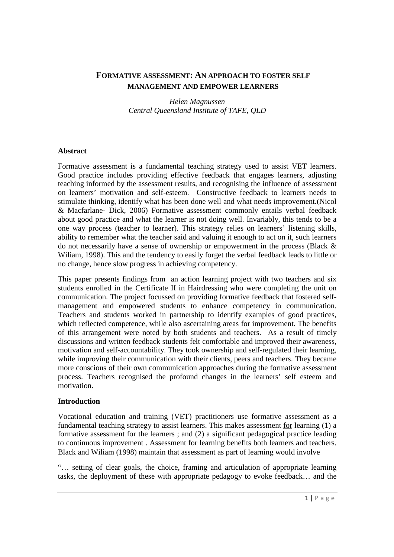# **FORMATIVE ASSESSMENT: AN APPROACH TO FOSTER SELF MANAGEMENT AND EMPOWER LEARNERS**

*Helen Magnussen Central Queensland Institute of TAFE, QLD* 

#### **Abstract**

Formative assessment is a fundamental teaching strategy used to assist VET learners. Good practice includes providing effective feedback that engages learners, adjusting teaching informed by the assessment results, and recognising the influence of assessment on learners' motivation and self-esteem. Constructive feedback to learners needs to stimulate thinking, identify what has been done well and what needs improvement.(Nicol & Macfarlane- Dick, 2006) Formative assessment commonly entails verbal feedback about good practice and what the learner is not doing well. Invariably, this tends to be a one way process (teacher to learner). This strategy relies on learners' listening skills, ability to remember what the teacher said and valuing it enough to act on it, such learners do not necessarily have a sense of ownership or empowerment in the process (Black  $\&$ Wiliam, 1998). This and the tendency to easily forget the verbal feedback leads to little or no change, hence slow progress in achieving competency.

This paper presents findings from an action learning project with two teachers and six students enrolled in the Certificate II in Hairdressing who were completing the unit on communication. The project focussed on providing formative feedback that fostered selfmanagement and empowered students to enhance competency in communication. Teachers and students worked in partnership to identify examples of good practices, which reflected competence, while also ascertaining areas for improvement. The benefits of this arrangement were noted by both students and teachers. As a result of timely discussions and written feedback students felt comfortable and improved their awareness, motivation and self-accountability. They took ownership and self-regulated their learning, while improving their communication with their clients, peers and teachers. They became more conscious of their own communication approaches during the formative assessment process. Teachers recognised the profound changes in the learners' self esteem and motivation.

### **Introduction**

Vocational education and training (VET) practitioners use formative assessment as a fundamental teaching strategy to assist learners. This makes assessment for learning (1) a formative assessment for the learners ; and (2) a significant pedagogical practice leading to continuous improvement . Assessment for learning benefits both learners and teachers. Black and Wiliam (1998) maintain that assessment as part of learning would involve

"… setting of clear goals, the choice, framing and articulation of appropriate learning tasks, the deployment of these with appropriate pedagogy to evoke feedback… and the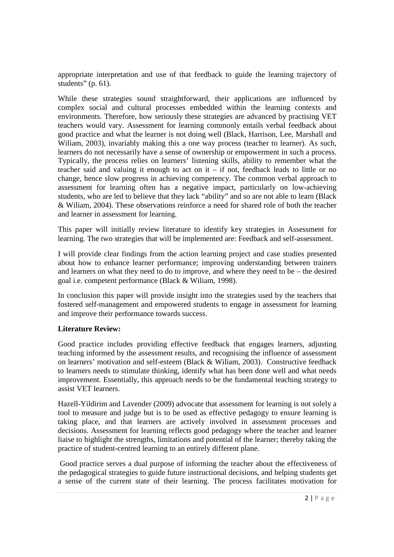appropriate interpretation and use of that feedback to guide the learning trajectory of students" (p.  $61$ ).

While these strategies sound straightforward, their applications are influenced by complex social and cultural processes embedded within the learning contexts and environments. Therefore, how seriously these strategies are advanced by practising VET teachers would vary. Assessment for learning commonly entails verbal feedback about good practice and what the learner is not doing well (Black, Harrison, Lee, Marshall and Wiliam, 2003), invariably making this a one way process (teacher to learner). As such, learners do not necessarily have a sense of ownership or empowerment in such a process. Typically, the process relies on learners' listening skills, ability to remember what the teacher said and valuing it enough to act on it – if not, feedback leads to little or no change, hence slow progress in achieving competency. The common verbal approach to assessment for learning often has a negative impact, particularly on low-achieving students, who are led to believe that they lack "ability" and so are not able to learn (Black & Wiliam, 2004). These observations reinforce a need for shared role of both the teacher and learner in assessment for learning.

This paper will initially review literature to identify key strategies in Assessment for learning. The two strategies that will be implemented are: Feedback and self-assessment.

I will provide clear findings from the action learning project and case studies presented about how to enhance learner performance; improving understanding between trainers and learners on what they need to do to improve, and where they need to be – the desired goal i.e. competent performance (Black & Wiliam, 1998).

In conclusion this paper will provide insight into the strategies used by the teachers that fostered self-management and empowered students to engage in assessment for learning and improve their performance towards success.

## **Literature Review:**

Good practice includes providing effective feedback that engages learners, adjusting teaching informed by the assessment results, and recognising the influence of assessment on learners' motivation and self-esteem (Black & Wiliam, 2003). Constructive feedback to learners needs to stimulate thinking, identify what has been done well and what needs improvement. Essentially, this approach needs to be the fundamental teaching strategy to assist VET learners.

Hazell-Yildirim and Lavender (2009) advocate that assessment for learning is not solely a tool to measure and judge but is to be used as effective pedagogy to ensure learning is taking place, and that learners are actively involved in assessment processes and decisions. Assessment for learning reflects good pedagogy where the teacher and learner liaise to highlight the strengths, limitations and potential of the learner; thereby taking the practice of student-centred learning to an entirely different plane.

 Good practice serves a dual purpose of informing the teacher about the effectiveness of the pedagogical strategies to guide future instructional decisions, and helping students get a sense of the current state of their learning. The process facilitates motivation for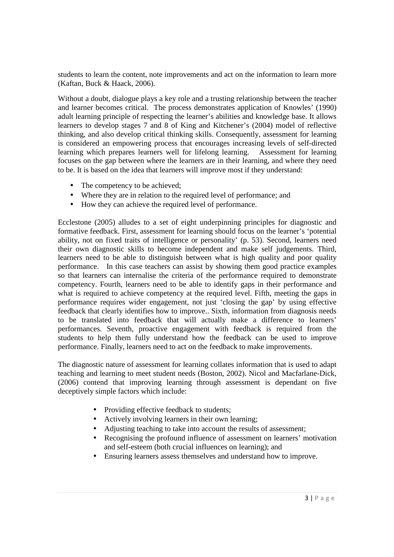students to learn the content, note improvements and act on the information to learn more (Kaftan, Buck & Haack, 2006).

Without a doubt, dialogue plays a key role and a trusting relationship between the teacher and learner becomes critical. The process demonstrates application of Knowles' (1990) adult learning principle of respecting the learner's abilities and knowledge base. It allows learners to develop stages 7 and 8 of King and Kitchener's (2004) model of reflective thinking, and also develop critical thinking skills. Consequently, assessment for learning is considered an empowering process that encourages increasing levels of self-directed learning which prepares learners well for lifelong learning. Assessment for learning focuses on the gap between where the learners are in their learning, and where they need to be. It is based on the idea that learners will improve most if they understand:

- The competency to be achieved:
- Where they are in relation to the required level of performance; and
- How they can achieve the required level of performance.

Ecclestone (2005) alludes to a set of eight underpinning principles for diagnostic and formative feedback. First, assessment for learning should focus on the learner's 'potential ability, not on fixed traits of intelligence or personality' (p. 53). Second, learners need their own diagnostic skills to become independent and make self judgements. Third, learners need to be able to distinguish between what is high quality and poor quality performance. In this case teachers can assist by showing them good practice examples so that learners can internalise the criteria of the performance required to demonstrate competency. Fourth, learners need to be able to identify gaps in their performance and what is required to achieve competency at the required level. Fifth, meeting the gaps in performance requires wider engagement, not just 'closing the gap' by using effective feedback that clearly identifies how to improve.. Sixth, information from diagnosis needs to be translated into feedback that will actually make a difference to learners' performances. Seventh, proactive engagement with feedback is required from the students to help them fully understand how the feedback can be used to improve performance. Finally, learners need to act on the feedback to make improvements.

The diagnostic nature of assessment for learning collates information that is used to adapt teaching and learning to meet student needs (Boston, 2002). Nicol and Macfarlane-Dick, (2006) contend that improving learning through assessment is dependant on five deceptively simple factors which include:

- Providing effective feedback to students;
- Actively involving learners in their own learning;
- Adjusting teaching to take into account the results of assessment;
- Recognising the profound influence of assessment on learners' motivation and self-esteem (both crucial influences on learning); and
- Ensuring learners assess themselves and understand how to improve.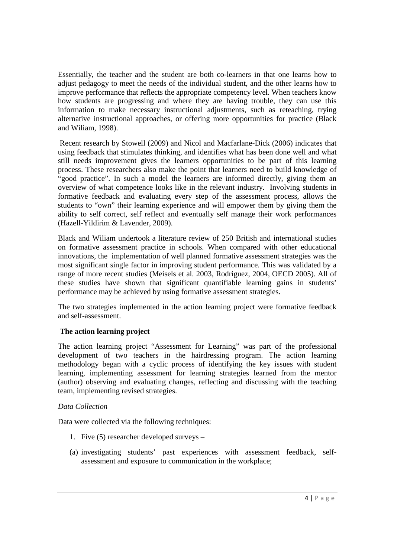Essentially, the teacher and the student are both co-learners in that one learns how to adjust pedagogy to meet the needs of the individual student, and the other learns how to improve performance that reflects the appropriate competency level. When teachers know how students are progressing and where they are having trouble, they can use this information to make necessary instructional adjustments, such as reteaching, trying alternative instructional approaches, or offering more opportunities for practice (Black and Wiliam, 1998).

 Recent research by Stowell (2009) and Nicol and Macfarlane-Dick (2006) indicates that using feedback that stimulates thinking, and identifies what has been done well and what still needs improvement gives the learners opportunities to be part of this learning process. These researchers also make the point that learners need to build knowledge of "good practice". In such a model the learners are informed directly, giving them an overview of what competence looks like in the relevant industry. Involving students in formative feedback and evaluating every step of the assessment process, allows the students to "own" their learning experience and will empower them by giving them the ability to self correct, self reflect and eventually self manage their work performances (Hazell-Yildirim & Lavender, 2009).

Black and Wiliam undertook a literature review of 250 British and international studies on formative assessment practice in schools. When compared with other educational innovations, the implementation of well planned formative assessment strategies was the most significant single factor in improving student performance. This was validated by a range of more recent studies (Meisels et al. 2003, Rodriguez, 2004, OECD 2005). All of these studies have shown that significant quantifiable learning gains in students' performance may be achieved by using formative assessment strategies.

The two strategies implemented in the action learning project were formative feedback and self-assessment.

## **The action learning project**

The action learning project "Assessment for Learning" was part of the professional development of two teachers in the hairdressing program. The action learning methodology began with a cyclic process of identifying the key issues with student learning, implementing assessment for learning strategies learned from the mentor (author) observing and evaluating changes, reflecting and discussing with the teaching team, implementing revised strategies.

## *Data Collection*

Data were collected via the following techniques:

- 1. Five (5) researcher developed surveys –
- (a) investigating students' past experiences with assessment feedback, selfassessment and exposure to communication in the workplace;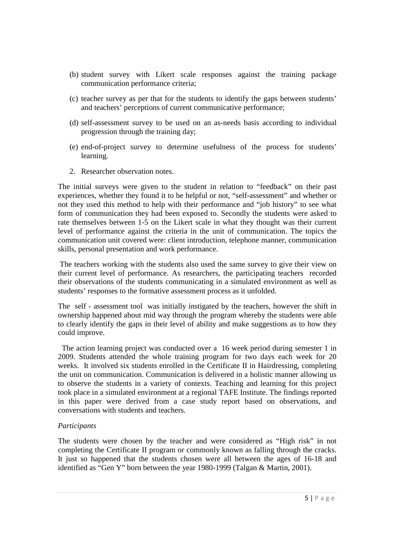- (b) student survey with Likert scale responses against the training package communication performance criteria;
- (c) teacher survey as per that for the students to identify the gaps between students' and teachers' perceptions of current communicative performance;
- (d) self-assessment survey to be used on an as-needs basis according to individual progression through the training day;
- (e) end-of-project survey to determine usefulness of the process for students' learning.
- 2. Researcher observation notes.

The initial surveys were given to the student in relation to "feedback" on their past experiences, whether they found it to be helpful or not, "self-assessment" and whether or not they used this method to help with their performance and "job history" to see what form of communication they had been exposed to. Secondly the students were asked to rate themselves between 1-5 on the Likert scale in what they thought was their current level of performance against the criteria in the unit of communication. The topics the communication unit covered were: client introduction, telephone manner, communication skills, personal presentation and work performance.

 The teachers working with the students also used the same survey to give their view on their current level of performance. As researchers, the participating teachers recorded their observations of the students communicating in a simulated environment as well as students' responses to the formative assessment process as it unfolded.

The self - assessment tool was initially instigated by the teachers, however the shift in ownership happened about mid way through the program whereby the students were able to clearly identify the gaps in their level of ability and make suggestions as to how they could improve.

 The action learning project was conducted over a 16 week period during semester 1 in 2009. Students attended the whole training program for two days each week for 20 weeks. It involved six students enrolled in the Certificate II in Hairdressing, completing the unit on communication. Communication is delivered in a holistic manner allowing us to observe the students in a variety of contexts. Teaching and learning for this project took place in a simulated environment at a regional TAFE Institute. The findings reported in this paper were derived from a case study report based on observations, and conversations with students and teachers.

## *Participants*

The students were chosen by the teacher and were considered as "High risk" in not completing the Certificate II program or commonly known as falling through the cracks. It just so happened that the students chosen were all between the ages of 16-18 and identified as "Gen Y" born between the year 1980-1999 (Talgan & Martin, 2001).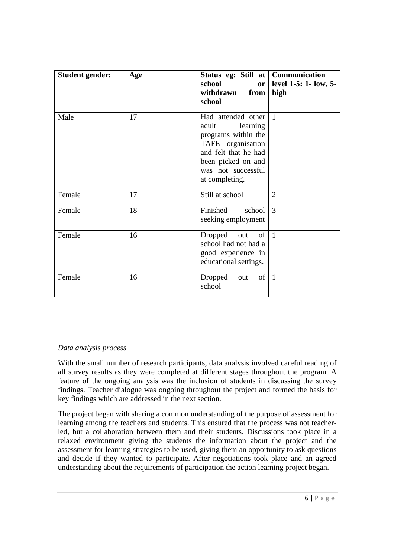| <b>Student gender:</b> | Age | Status eg: Still at   Communication<br>school<br>or<br>withdrawn<br>from<br>school                                                                                        | level 1-5: 1- low, 5-<br>high |
|------------------------|-----|---------------------------------------------------------------------------------------------------------------------------------------------------------------------------|-------------------------------|
| Male                   | 17  | Had attended other<br>adult<br>learning<br>programs within the<br>TAFE organisation<br>and felt that he had<br>been picked on and<br>was not successful<br>at completing. | $\mathbf{1}$                  |
| Female                 | 17  | Still at school                                                                                                                                                           | $\overline{2}$                |
| Female                 | 18  | Finished<br>school<br>seeking employment                                                                                                                                  | 3                             |
| Female                 | 16  | Dropped out<br>of <sub>l</sub><br>school had not had a<br>good experience in<br>educational settings.                                                                     | $\overline{1}$                |
| Female                 | 16  | of<br>Dropped<br>out<br>school                                                                                                                                            | $\mathbf{1}$                  |

## *Data analysis process*

With the small number of research participants, data analysis involved careful reading of all survey results as they were completed at different stages throughout the program. A feature of the ongoing analysis was the inclusion of students in discussing the survey findings. Teacher dialogue was ongoing throughout the project and formed the basis for key findings which are addressed in the next section.

The project began with sharing a common understanding of the purpose of assessment for learning among the teachers and students. This ensured that the process was not teacherled, but a collaboration between them and their students. Discussions took place in a relaxed environment giving the students the information about the project and the assessment for learning strategies to be used, giving them an opportunity to ask questions and decide if they wanted to participate. After negotiations took place and an agreed understanding about the requirements of participation the action learning project began.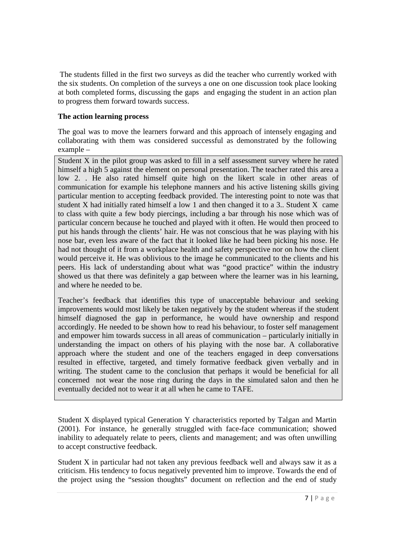The students filled in the first two surveys as did the teacher who currently worked with the six students. On completion of the surveys a one on one discussion took place looking at both completed forms, discussing the gaps and engaging the student in an action plan to progress them forward towards success.

### **The action learning process**

The goal was to move the learners forward and this approach of intensely engaging and collaborating with them was considered successful as demonstrated by the following example –

Student X in the pilot group was asked to fill in a self assessment survey where he rated himself a high 5 against the element on personal presentation. The teacher rated this area a low 2. . He also rated himself quite high on the likert scale in other areas of communication for example his telephone manners and his active listening skills giving particular mention to accepting feedback provided. The interesting point to note was that student X had initially rated himself a low 1 and then changed it to a 3.. Student X came to class with quite a few body piercings, including a bar through his nose which was of particular concern because he touched and played with it often. He would then proceed to put his hands through the clients' hair. He was not conscious that he was playing with his nose bar, even less aware of the fact that it looked like he had been picking his nose. He had not thought of it from a workplace health and safety perspective nor on how the client would perceive it. He was oblivious to the image he communicated to the clients and his peers. His lack of understanding about what was "good practice" within the industry showed us that there was definitely a gap between where the learner was in his learning, and where he needed to be.

Teacher's feedback that identifies this type of unacceptable behaviour and seeking improvements would most likely be taken negatively by the student whereas if the student himself diagnosed the gap in performance, he would have ownership and respond accordingly. He needed to be shown how to read his behaviour, to foster self management and empower him towards success in all areas of communication – particularly initially in understanding the impact on others of his playing with the nose bar. A collaborative approach where the student and one of the teachers engaged in deep conversations resulted in effective, targeted, and timely formative feedback given verbally and in writing. The student came to the conclusion that perhaps it would be beneficial for all concerned not wear the nose ring during the days in the simulated salon and then he eventually decided not to wear it at all when he came to TAFE.

Student X displayed typical Generation Y characteristics reported by Talgan and Martin (2001). For instance, he generally struggled with face-face communication; showed inability to adequately relate to peers, clients and management; and was often unwilling to accept constructive feedback.

Student X in particular had not taken any previous feedback well and always saw it as a criticism. His tendency to focus negatively prevented him to improve. Towards the end of the project using the "session thoughts" document on reflection and the end of study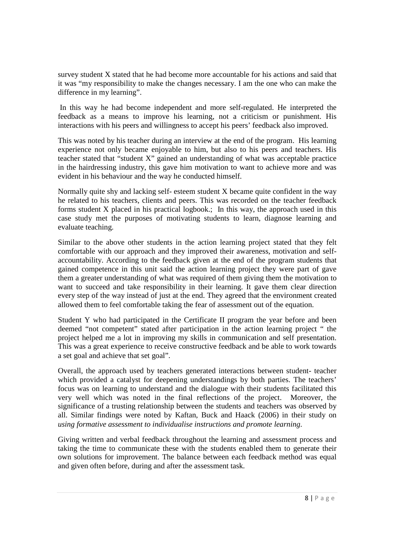survey student X stated that he had become more accountable for his actions and said that it was "my responsibility to make the changes necessary. I am the one who can make the difference in my learning".

 In this way he had become independent and more self-regulated. He interpreted the feedback as a means to improve his learning, not a criticism or punishment. His interactions with his peers and willingness to accept his peers' feedback also improved.

This was noted by his teacher during an interview at the end of the program. His learning experience not only became enjoyable to him, but also to his peers and teachers. His teacher stated that "student X" gained an understanding of what was acceptable practice in the hairdressing industry, this gave him motivation to want to achieve more and was evident in his behaviour and the way he conducted himself.

Normally quite shy and lacking self- esteem student X became quite confident in the way he related to his teachers, clients and peers. This was recorded on the teacher feedback forms student X placed in his practical logbook.; In this way, the approach used in this case study met the purposes of motivating students to learn, diagnose learning and evaluate teaching.

Similar to the above other students in the action learning project stated that they felt comfortable with our approach and they improved their awareness, motivation and selfaccountability. According to the feedback given at the end of the program students that gained competence in this unit said the action learning project they were part of gave them a greater understanding of what was required of them giving them the motivation to want to succeed and take responsibility in their learning. It gave them clear direction every step of the way instead of just at the end. They agreed that the environment created allowed them to feel comfortable taking the fear of assessment out of the equation.

Student Y who had participated in the Certificate II program the year before and been deemed "not competent" stated after participation in the action learning project " the project helped me a lot in improving my skills in communication and self presentation. This was a great experience to receive constructive feedback and be able to work towards a set goal and achieve that set goal".

Overall, the approach used by teachers generated interactions between student- teacher which provided a catalyst for deepening understandings by both parties. The teachers' focus was on learning to understand and the dialogue with their students facilitated this very well which was noted in the final reflections of the project. Moreover, the significance of a trusting relationship between the students and teachers was observed by all. Similar findings were noted by Kaftan, Buck and Haack (2006) in their study on *using formative assessment to individualise instructions and promote learning*.

Giving written and verbal feedback throughout the learning and assessment process and taking the time to communicate these with the students enabled them to generate their own solutions for improvement. The balance between each feedback method was equal and given often before, during and after the assessment task.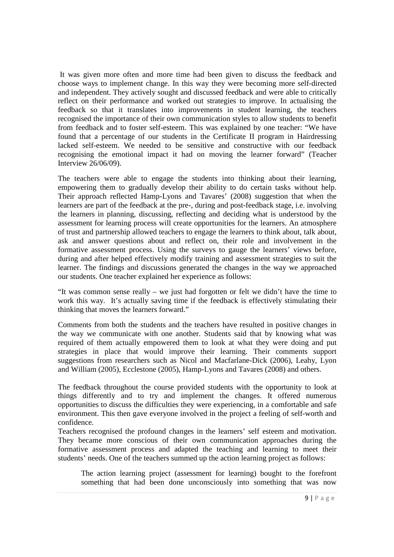It was given more often and more time had been given to discuss the feedback and choose ways to implement change. In this way they were becoming more self-directed and independent. They actively sought and discussed feedback and were able to critically reflect on their performance and worked out strategies to improve. In actualising the feedback so that it translates into improvements in student learning, the teachers recognised the importance of their own communication styles to allow students to benefit from feedback and to foster self-esteem. This was explained by one teacher: "We have found that a percentage of our students in the Certificate II program in Hairdressing lacked self-esteem. We needed to be sensitive and constructive with our feedback recognising the emotional impact it had on moving the learner forward" (Teacher Interview 26/06/09).

The teachers were able to engage the students into thinking about their learning, empowering them to gradually develop their ability to do certain tasks without help. Their approach reflected Hamp-Lyons and Tavares' (2008) suggestion that when the learners are part of the feedback at the pre-, during and post-feedback stage, i.e. involving the learners in planning, discussing, reflecting and deciding what is understood by the assessment for learning process will create opportunities for the learners. An atmosphere of trust and partnership allowed teachers to engage the learners to think about, talk about, ask and answer questions about and reflect on, their role and involvement in the formative assessment process. Using the surveys to gauge the learners' views before, during and after helped effectively modify training and assessment strategies to suit the learner. The findings and discussions generated the changes in the way we approached our students. One teacher explained her experience as follows:

"It was common sense really – we just had forgotten or felt we didn't have the time to work this way. It's actually saving time if the feedback is effectively stimulating their thinking that moves the learners forward."

Comments from both the students and the teachers have resulted in positive changes in the way we communicate with one another. Students said that by knowing what was required of them actually empowered them to look at what they were doing and put strategies in place that would improve their learning. Their comments support suggestions from researchers such as Nicol and Macfarlane-Dick (2006), Leahy, Lyon and William (2005), Ecclestone (2005), Hamp-Lyons and Tavares (2008) and others.

The feedback throughout the course provided students with the opportunity to look at things differently and to try and implement the changes. It offered numerous opportunities to discuss the difficulties they were experiencing, in a comfortable and safe environment. This then gave everyone involved in the project a feeling of self-worth and confidence.

Teachers recognised the profound changes in the learners' self esteem and motivation. They became more conscious of their own communication approaches during the formative assessment process and adapted the teaching and learning to meet their students' needs. One of the teachers summed up the action learning project as follows:

The action learning project (assessment for learning) bought to the forefront something that had been done unconsciously into something that was now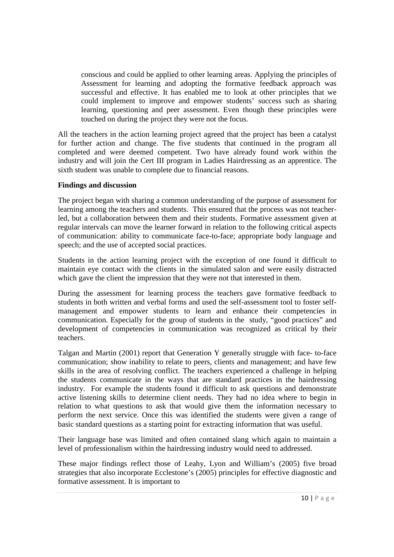conscious and could be applied to other learning areas. Applying the principles of Assessment for learning and adopting the formative feedback approach was successful and effective. It has enabled me to look at other principles that we could implement to improve and empower students' success such as sharing learning, questioning and peer assessment. Even though these principles were touched on during the project they were not the focus.

All the teachers in the action learning project agreed that the project has been a catalyst for further action and change. The five students that continued in the program all completed and were deemed competent. Two have already found work within the industry and will join the Cert III program in Ladies Hairdressing as an apprentice. The sixth student was unable to complete due to financial reasons.

### **Findings and discussion**

The project began with sharing a common understanding of the purpose of assessment for learning among the teachers and students. This ensured that the process was not teacherled, but a collaboration between them and their students. Formative assessment given at regular intervals can move the learner forward in relation to the following critical aspects of communication: ability to communicate face-to-face; appropriate body language and speech; and the use of accepted social practices.

Students in the action learning project with the exception of one found it difficult to maintain eye contact with the clients in the simulated salon and were easily distracted which gave the client the impression that they were not that interested in them.

During the assessment for learning process the teachers gave formative feedback to students in both written and verbal forms and used the self-assessment tool to foster selfmanagement and empower students to learn and enhance their competencies in communication. Especially for the group of students in the study, "good practices" and development of competencies in communication was recognized as critical by their teachers.

Talgan and Martin (2001) report that Generation Y generally struggle with face- to-face communication; show inability to relate to peers, clients and management; and have few skills in the area of resolving conflict. The teachers experienced a challenge in helping the students communicate in the ways that are standard practices in the hairdressing industry. For example the students found it difficult to ask questions and demonstrate active listening skills to determine client needs. They had no idea where to begin in relation to what questions to ask that would give them the information necessary to perform the next service. Once this was identified the students were given a range of basic standard questions as a starting point for extracting information that was useful.

Their language base was limited and often contained slang which again to maintain a level of professionalism within the hairdressing industry would need to addressed.

These major findings reflect those of Leahy, Lyon and William's (2005) five broad strategies that also incorporate Ecclestone's (2005) principles for effective diagnostic and formative assessment. It is important to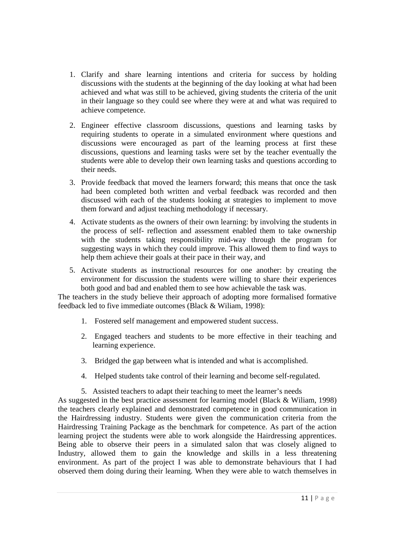- 1. Clarify and share learning intentions and criteria for success by holding discussions with the students at the beginning of the day looking at what had been achieved and what was still to be achieved, giving students the criteria of the unit in their language so they could see where they were at and what was required to achieve competence.
- 2. Engineer effective classroom discussions, questions and learning tasks by requiring students to operate in a simulated environment where questions and discussions were encouraged as part of the learning process at first these discussions, questions and learning tasks were set by the teacher eventually the students were able to develop their own learning tasks and questions according to their needs.
- 3. Provide feedback that moved the learners forward; this means that once the task had been completed both written and verbal feedback was recorded and then discussed with each of the students looking at strategies to implement to move them forward and adjust teaching methodology if necessary.
- 4. Activate students as the owners of their own learning: by involving the students in the process of self- reflection and assessment enabled them to take ownership with the students taking responsibility mid-way through the program for suggesting ways in which they could improve. This allowed them to find ways to help them achieve their goals at their pace in their way, and
- 5. Activate students as instructional resources for one another: by creating the environment for discussion the students were willing to share their experiences both good and bad and enabled them to see how achievable the task was.

The teachers in the study believe their approach of adopting more formalised formative feedback led to five immediate outcomes (Black & Wiliam, 1998):

- 1. Fostered self management and empowered student success.
- 2. Engaged teachers and students to be more effective in their teaching and learning experience.
- 3. Bridged the gap between what is intended and what is accomplished.
- 4. Helped students take control of their learning and become self-regulated.
- 5. Assisted teachers to adapt their teaching to meet the learner's needs

As suggested in the best practice assessment for learning model (Black & Wiliam, 1998) the teachers clearly explained and demonstrated competence in good communication in the Hairdressing industry. Students were given the communication criteria from the Hairdressing Training Package as the benchmark for competence. As part of the action learning project the students were able to work alongside the Hairdressing apprentices. Being able to observe their peers in a simulated salon that was closely aligned to Industry, allowed them to gain the knowledge and skills in a less threatening environment. As part of the project I was able to demonstrate behaviours that I had observed them doing during their learning. When they were able to watch themselves in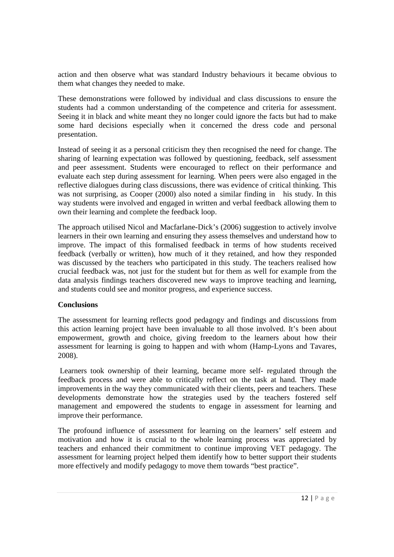action and then observe what was standard Industry behaviours it became obvious to them what changes they needed to make.

These demonstrations were followed by individual and class discussions to ensure the students had a common understanding of the competence and criteria for assessment. Seeing it in black and white meant they no longer could ignore the facts but had to make some hard decisions especially when it concerned the dress code and personal presentation.

Instead of seeing it as a personal criticism they then recognised the need for change. The sharing of learning expectation was followed by questioning, feedback, self assessment and peer assessment. Students were encouraged to reflect on their performance and evaluate each step during assessment for learning. When peers were also engaged in the reflective dialogues during class discussions, there was evidence of critical thinking. This was not surprising, as Cooper (2000) also noted a similar finding in his study. In this way students were involved and engaged in written and verbal feedback allowing them to own their learning and complete the feedback loop.

The approach utilised Nicol and Macfarlane-Dick's (2006) suggestion to actively involve learners in their own learning and ensuring they assess themselves and understand how to improve. The impact of this formalised feedback in terms of how students received feedback (verbally or written), how much of it they retained, and how they responded was discussed by the teachers who participated in this study. The teachers realised how crucial feedback was, not just for the student but for them as well for example from the data analysis findings teachers discovered new ways to improve teaching and learning, and students could see and monitor progress, and experience success.

### **Conclusions**

The assessment for learning reflects good pedagogy and findings and discussions from this action learning project have been invaluable to all those involved. It's been about empowerment, growth and choice, giving freedom to the learners about how their assessment for learning is going to happen and with whom (Hamp-Lyons and Tavares, 2008).

 Learners took ownership of their learning, became more self- regulated through the feedback process and were able to critically reflect on the task at hand. They made improvements in the way they communicated with their clients, peers and teachers. These developments demonstrate how the strategies used by the teachers fostered self management and empowered the students to engage in assessment for learning and improve their performance.

The profound influence of assessment for learning on the learners' self esteem and motivation and how it is crucial to the whole learning process was appreciated by teachers and enhanced their commitment to continue improving VET pedagogy. The assessment for learning project helped them identify how to better support their students more effectively and modify pedagogy to move them towards "best practice".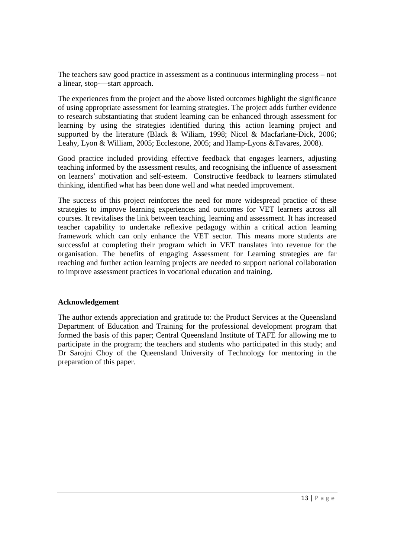The teachers saw good practice in assessment as a continuous intermingling process – not a linear, stop-—start approach.

The experiences from the project and the above listed outcomes highlight the significance of using appropriate assessment for learning strategies. The project adds further evidence to research substantiating that student learning can be enhanced through assessment for learning by using the strategies identified during this action learning project and supported by the literature (Black & Wiliam, 1998; Nicol & Macfarlane-Dick, 2006; Leahy, Lyon & William, 2005; Ecclestone, 2005; and Hamp-Lyons &Tavares, 2008).

Good practice included providing effective feedback that engages learners, adjusting teaching informed by the assessment results, and recognising the influence of assessment on learners' motivation and self-esteem. Constructive feedback to learners stimulated thinking, identified what has been done well and what needed improvement.

The success of this project reinforces the need for more widespread practice of these strategies to improve learning experiences and outcomes for VET learners across all courses. It revitalises the link between teaching, learning and assessment. It has increased teacher capability to undertake reflexive pedagogy within a critical action learning framework which can only enhance the VET sector. This means more students are successful at completing their program which in VET translates into revenue for the organisation. The benefits of engaging Assessment for Learning strategies are far reaching and further action learning projects are needed to support national collaboration to improve assessment practices in vocational education and training.

### **Acknowledgement**

The author extends appreciation and gratitude to: the Product Services at the Queensland Department of Education and Training for the professional development program that formed the basis of this paper; Central Queensland Institute of TAFE for allowing me to participate in the program; the teachers and students who participated in this study; and Dr Sarojni Choy of the Queensland University of Technology for mentoring in the preparation of this paper.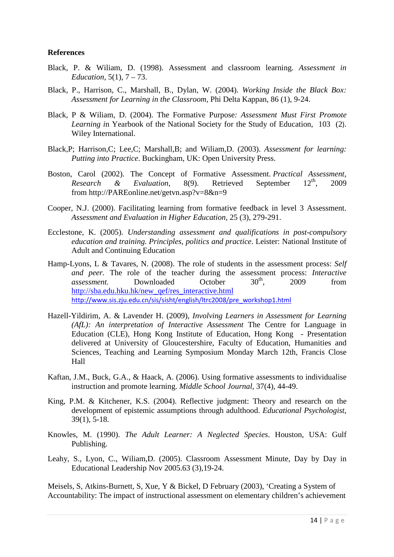### **References**

- Black, P. & Wiliam, D. (1998). Assessment and classroom learning. *Assessment in Education*, 5(1), 7 – 73.
- Black, P., Harrison, C., Marshall, B., Dylan, W. (2004). *Working Inside the Black Box: Assessment for Learning in the Classroom,* Phi Delta Kappan, 86 (1), 9-24.
- Black, P & Wiliam, D. (2004). The Formative Purpose*: Assessment Must First Promote Learning i*n Yearbook of the National Society for the Study of Education, 103 (2). Wiley International.
- Black,P; Harrison,C; Lee,C; Marshall,B; and Wiliam,D. (2003). *Assessment for learning: Putting into Practice*. Buckingham, UK: Open University Press.
- Boston, Carol (2002). The Concept of Formative Assessment. *Practical Assessment, Research & Evaluation*, 8(9). Retrieved September 12<sup>th</sup>, 2009 from http://PAREonline.net/getvn.asp?v=8&n=9
- Cooper, N.J. (2000). Facilitating learning from formative feedback in level 3 Assessment. *Assessment and Evaluation in Higher Education*, 25 (3), 279-291.
- Ecclestone, K. (2005). *Understanding assessment and qualifications in post-compulsory education and training. Principles, politics and practice*. Leister: National Institute of Adult and Continuing Education
- Hamp-Lyons, L & Tavares, N. (2008). The role of students in the assessment process: *Self and peer.* The role of the teacher during the assessment process: *Interactive* assessment. Downloaded October  $30^{th}$ , 2009 from *assessment.* Downloaded October 30<sup>th</sup>, 2009 from http://sba.edu.hku.hk/new\_qef/res\_interactive.html http://www.sis.zju.edu.cn/sis/sisht/english/ltrc2008/pre\_workshop1.html
- Hazell-Yildirim, A. & Lavender H. (2009), *Involving Learners in Assessment for Learning (AfL): An interpretation of Interactive Assessment* The Centre for Language in Education (CLE), Hong Kong Institute of Education, Hong Kong - Presentation delivered at University of Gloucestershire, Faculty of Education, Humanities and Sciences, Teaching and Learning Symposium Monday March 12th, Francis Close Hall
- Kaftan, J.M., Buck, G.A., & Haack, A. (2006). Using formative assessments to individualise instruction and promote learning. *Middle School Journal*, 37(4), 44-49.
- King, P.M. & Kitchener, K.S. (2004). Reflective judgment: Theory and research on the development of epistemic assumptions through adulthood. *Educational Psychologist*, 39(1), 5-18.
- Knowles, M. (1990). *The Adult Learner: A Neglected Species*. Houston, USA: Gulf Publishing.
- Leahy, S., Lyon, C., Wiliam,D. (2005). Classroom Assessment Minute, Day by Day in Educational Leadership Nov 2005.63 (3),19-24.

Meisels, S, Atkins-Burnett, S, Xue, Y & Bickel, D February (2003), 'Creating a System of Accountability: The impact of instructional assessment on elementary children's achievement